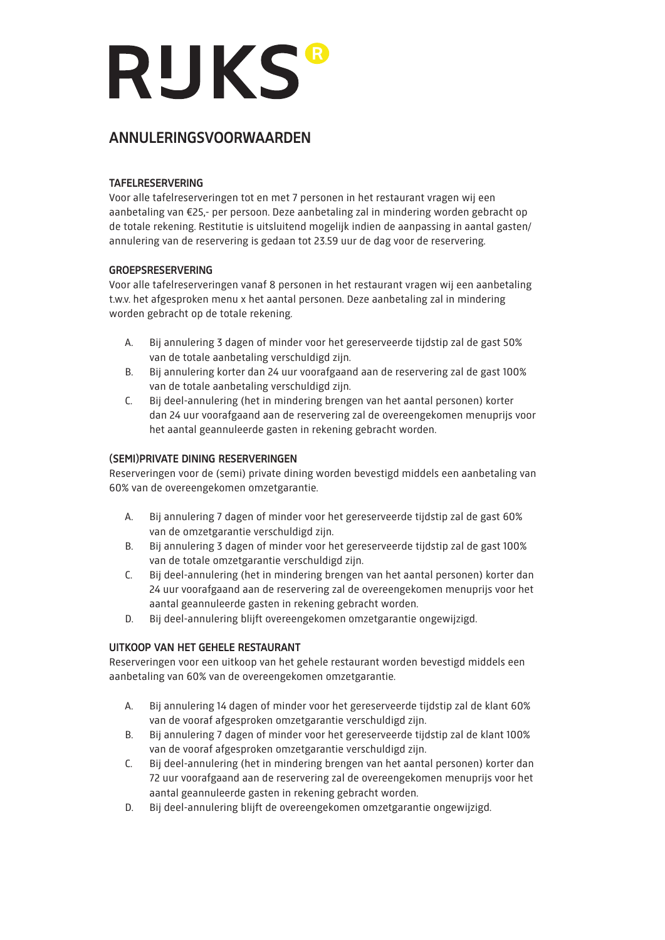# **RUKS®**

# Annuleringsvoorwaarden

# TAFELRESERVERING

Voor alle tafelreserveringen tot en met 7 personen in het restaurant vragen wij een aanbetaling van €25,- per persoon. Deze aanbetaling zal in mindering worden gebracht op de totale rekening. Restitutie is uitsluitend mogelijk indien de aanpassing in aantal gasten/ annulering van de reservering is gedaan tot 23.59 uur de dag voor de reservering.

# GROEPSRESERVERING

Voor alle tafelreserveringen vanaf 8 personen in het restaurant vragen wij een aanbetaling t.w.v. het afgesproken menu x het aantal personen. Deze aanbetaling zal in mindering worden gebracht op de totale rekening.

- A. Bij annulering 3 dagen of minder voor het gereserveerde tijdstip zal de gast 50% van de totale aanbetaling verschuldigd zijn.
- B. Bij annulering korter dan 24 uur voorafgaand aan de reservering zal de gast 100% van de totale aanbetaling verschuldigd zijn.
- C. Bij deel-annulering (het in mindering brengen van het aantal personen) korter dan 24 uur voorafgaand aan de reservering zal de overeengekomen menuprijs voor het aantal geannuleerde gasten in rekening gebracht worden.

# (SEMI)PRIVATE DINING RESERVERINGEN

Reserveringen voor de (semi) private dining worden bevestigd middels een aanbetaling van 60% van de overeengekomen omzetgarantie.

- A. Bij annulering 7 dagen of minder voor het gereserveerde tijdstip zal de gast 60% van de omzetgarantie verschuldigd zijn.
- B. Bij annulering 3 dagen of minder voor het gereserveerde tijdstip zal de gast 100% van de totale omzetgarantie verschuldigd zijn.
- C. Bij deel-annulering (het in mindering brengen van het aantal personen) korter dan 24 uur voorafgaand aan de reservering zal de overeengekomen menuprijs voor het aantal geannuleerde gasten in rekening gebracht worden.
- D. Bij deel-annulering blijft overeengekomen omzetgarantie ongewijzigd.

# UITKOOP VAN HET GEHELE RESTAURANT

Reserveringen voor een uitkoop van het gehele restaurant worden bevestigd middels een aanbetaling van 60% van de overeengekomen omzetgarantie.

- A. Bij annulering 14 dagen of minder voor het gereserveerde tijdstip zal de klant 60% van de vooraf afgesproken omzetgarantie verschuldigd zijn.
- B. Bij annulering 7 dagen of minder voor het gereserveerde tijdstip zal de klant 100% van de vooraf afgesproken omzetgarantie verschuldigd zijn.
- C. Bij deel-annulering (het in mindering brengen van het aantal personen) korter dan 72 uur voorafgaand aan de reservering zal de overeengekomen menuprijs voor het aantal geannuleerde gasten in rekening gebracht worden.
- D. Bij deel-annulering blijft de overeengekomen omzetgarantie ongewijzigd.